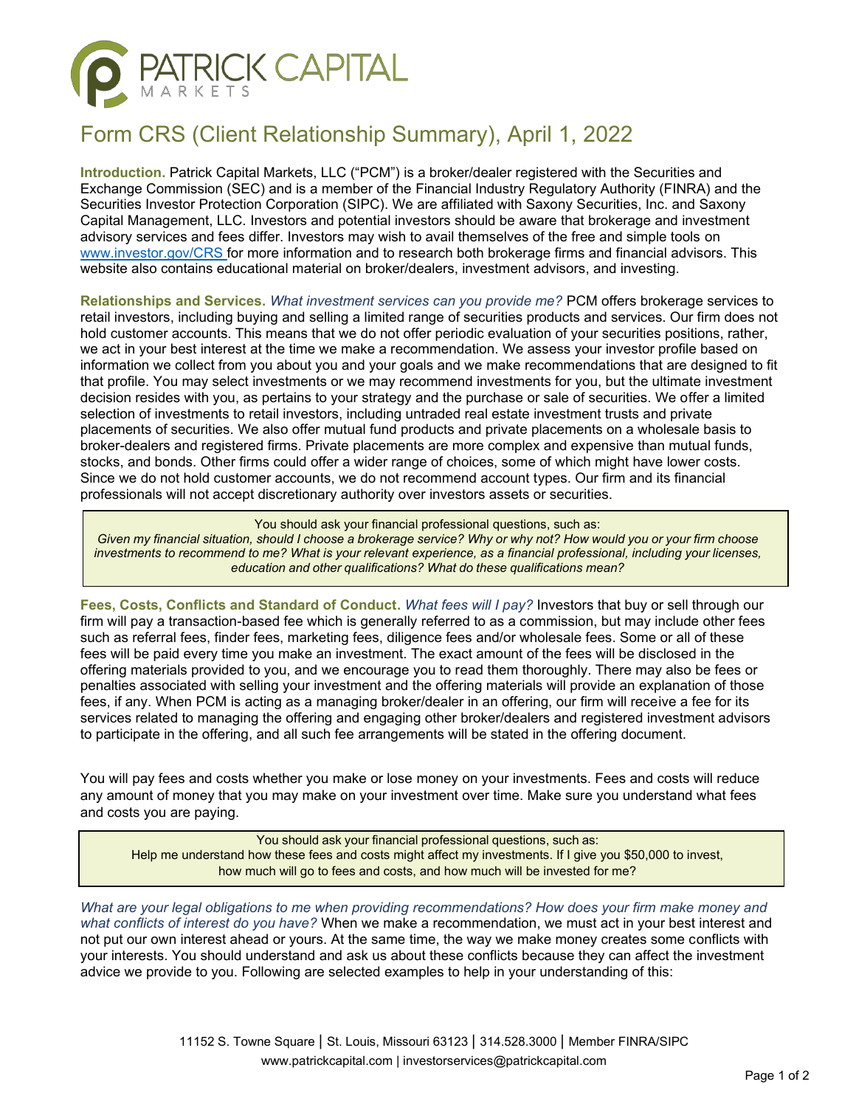

## Form CRS (Client Relationship Summary), April 1, 2022

**Introduction.** Patrick Capital Markets, LLC ("PCM") is a broker/dealer registered with the Securities and Exchange Commission (SEC) and is a member of the Financial Industry Regulatory Authority (FINRA) and the Securities Investor Protection Corporation (SIPC). We are affiliated with Saxony Securities, Inc. and Saxony Capital Management, LLC. Investors and potential investors should be aware that brokerage and investment advisory services and fees differ. Investors may wish to avail themselves of the free and simple tools on [www.investor.gov/CRS f](http://www.investor.gov/CRS)or more information and to research both brokerage firms and financial advisors. This website also contains educational material on broker/dealers, investment advisors, and investing.

**Relationships and Services.** *What investment services can you provide me?* PCM offers brokerage services to retail investors, including buying and selling a limited range of securities products and services. Our firm does not hold customer accounts. This means that we do not offer periodic evaluation of your securities positions, rather, we act in your best interest at the time we make a recommendation. We assess your investor profile based on information we collect from you about you and your goals and we make recommendations that are designed to fit that profile. You may select investments or we may recommend investments for you, but the ultimate investment decision resides with you, as pertains to your strategy and the purchase or sale of securities. We offer a limited selection of investments to retail investors, including untraded real estate investment trusts and private placements of securities. We also offer mutual fund products and private placements on a wholesale basis to broker-dealers and registered firms. Private placements are more complex and expensive than mutual funds, stocks, and bonds. Other firms could offer a wider range of choices, some of which might have lower costs. Since we do not hold customer accounts, we do not recommend account types. Our firm and its financial professionals will not accept discretionary authority over investors assets or securities.

You should ask your financial professional questions, such as:

Given my financial situation, should I choose a brokerage service? Why or why not? How would you or your firm choose *investments to recommend to me? What is your relevant experience, as a financial professional, including your licenses, education and other qualifications? What do these qualifications mean?*

**Fees, Costs, Conflicts and Standard of Conduct.** *What fees will I pay?* Investors that buy or sell through our firm will pay a transaction-based fee which is generally referred to as a commission, but may include other fees such as referral fees, finder fees, marketing fees, diligence fees and/or wholesale fees. Some or all of these fees will be paid every time you make an investment. The exact amount of the fees will be disclosed in the offering materials provided to you, and we encourage you to read them thoroughly. There may also be fees or penalties associated with selling your investment and the offering materials will provide an explanation of those fees, if any. When PCM is acting as a managing broker/dealer in an offering, our firm will receive a fee for its services related to managing the offering and engaging other broker/dealers and registered investment advisors to participate in the offering, and all such fee arrangements will be stated in the offering document.

You will pay fees and costs whether you make or lose money on your investments. Fees and costs will reduce any amount of money that you may make on your investment over time. Make sure you understand what fees and costs you are paying.

You should ask your financial professional questions, such as: Help me understand how these fees and costs might affect my investments. If I give you \$50,000 to invest, how much will go to fees and costs, and how much will be invested for me?

*What are your legal obligations to me when providing recommendations? How does your firm make money and what conflicts of interest do you have?* When we make a recommendation, we must act in your best interest and not put our own interest ahead or yours. At the same time, the way we make money creates some conflicts with your interests. You should understand and ask us about these conflicts because they can affect the investment advice we provide to you. Following are selected examples to help in your understanding of this: